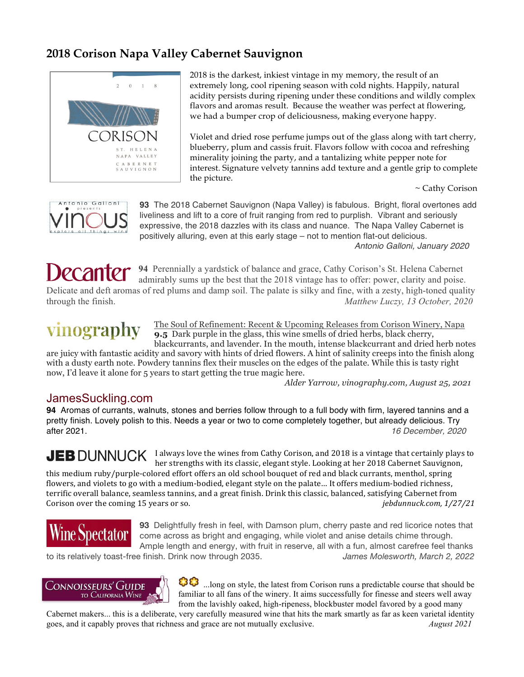### **2018 Corison Napa Valley Cabernet Sauvignon**



2018 is the darkest, inkiest vintage in my memory, the result of an extremely long, cool ripening season with cold nights. Happily, natural acidity persists during ripening under these conditions and wildly complex flavors and aromas result. Because the weather was perfect at flowering, we had a bumper crop of deliciousness, making everyone happy.

Violet and dried rose perfume jumps out of the glass along with tart cherry, blueberry, plum and cassis fruit. Flavors follow with cocoa and refreshing minerality joining the party, and a tantalizing white pepper note for interest. Signature velvety tannins add texture and a gentle grip to complete the picture.

~ Cathy Corison



**93** The 2018 Cabernet Sauvignon (Napa Valley) is fabulous. Bright, floral overtones add liveliness and lift to a core of fruit ranging from red to purplish. Vibrant and seriously expressive, the 2018 dazzles with its class and nuance. The Napa Valley Cabernet is positively alluring, even at this early stage – not to mention flat-out delicious. *Antonio Galloni, January 2020*

ecanter **94** Perennially a yardstick of balance and grace, Cathy Corison's St. Helena Cabernet admirably sums up the best that the 2018 vintage has to offer: power, clarity and poise. Delicate and deft aromas of red plums and damp soil. The palate is silky and fine, with a zesty, high-toned quality through the finish. *Matthew Luczy, 13 October, 2020*

# vinography

The Soul of Refinement: Recent & Upcoming Releases from Corison Winery, Napa **9.5** Dark purple in the glass, this wine smells of dried herbs, black cherry, blackcurrants, and lavender. In the mouth, intense blackcurrant and dried herb notes

are juicy with fantastic acidity and savory with hints of dried flowers. A hint of salinity creeps into the finish along with a dusty earth note. Powdery tannins flex their muscles on the edges of the palate. While this is tasty right now, I'd leave it alone for 5 years to start getting the true magic here.

 *Alder Yarrow, vinography.com, August 25, 2021*

### JamesSuckling.com

**94** Aromas of currants, walnuts, stones and berries follow through to a full body with firm, layered tannins and a pretty finish. Lovely polish to this. Needs a year or two to come completely together, but already delicious. Try after 2021. *16 December, 2020*

JEB DUNNUCK I always love the wines from Cathy Corison, and 2018 is a vintage that certainly plays to her strengths with its classic, elegant style. Looking at her 2018 Cabernet Sauvignon, this medium ruby/purple-colored effort offers an old school bouquet of red and black currants, menthol, spring flowers, and violets to go with a medium-bodied, elegant style on the palate... It offers medium-bodied richness, terrific overall balance, seamless tannins, and a great finish. Drink this classic, balanced, satisfying Cabernet from Corison over the coming 15 years or so.  $jebd$  *jebdunnuck.com,* 1/27/21



**93** Delightfully fresh in feel, with Damson plum, cherry paste and red licorice notes that come across as bright and engaging, while violet and anise details chime through. Ample length and energy, with fruit in reserve, all with a fun, almost carefree feel thanks

to its relatively toast-free finish. Drink now through 2035. *James Molesworth, March 2, 2022*



**CC**. long on style, the latest from Corison runs a predictable course that should be familiar to all fans of the winery. It aims successfully for finesse and steers well away from the lavishly oaked, high-ripeness, blockbuster model favored by a good many

Cabernet makers... this is a deliberate, very carefully measured wine that hits the mark smartly as far as keen varietal identity goes, and it capably proves that richness and grace are not mutually exclusive. *August 2021*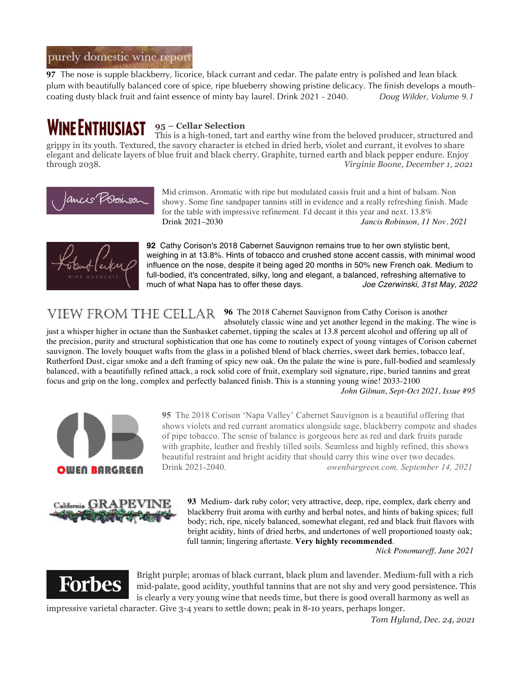### purely domestic wine report

**97** The nose is supple blackberry, licorice, black currant and cedar. The palate entry is polished and lean black plum with beautifully balanced core of spice, ripe blueberry showing pristine delicacy. The finish develops a mouthcoating dusty black fruit and faint essence of minty bay laurel. Drink 2021 - 2040. *Doug Wilder, Volume 9.1*

#### **WINE ENTHUSIAST 95 – Cellar Selection**

This is a high-toned, tart and earthy wine from the beloved producer, structured and grippy in its youth. Textured, the savory character is etched in dried herb, violet and currant, it evolves to share elegant and delicate layers of blue fruit and black cherry. Graphite, turned earth and black pepper endure. Enjoy through 2038. *Virginie Boone, December 1, 2021*



Mid crimson. Aromatic with ripe but modulated cassis fruit and a hint of balsam. Non showy. Some fine sandpaper tannins still in evidence and a really refreshing finish. Made for the table with impressive refinement. I'd decant it this year and next. 13.8%<br>Drink 2021–2030 *Jancis Robinson. II* Drink 2021–2030 *Jancis Robinson, 11 Nov. 2021*



**92** Cathy Corison's 2018 Cabernet Sauvignon remains true to her own stylistic bent, weighing in at 13.8%. Hints of tobacco and crushed stone accent cassis, with minimal wood influence on the nose, despite it being aged 20 months in 50% new French oak. Medium to full-bodied, it's concentrated, silky, long and elegant, a balanced, refreshing alternative to much of what Napa has to offer these days. *Joe Czerwinski, 31st May, 2022*

VIEW FROM THE CELLAR 96 The 2018 Cabernet Sauvignon from Cathy Corison is another absolutely classic wine and yet another legend in the making. The wine is

just a whisper higher in octane than the Sunbasket cabernet, tipping the scales at 13.8 percent alcohol and offering up all of the precision, purity and structural sophistication that one has come to routinely expect of young vintages of Corison cabernet sauvignon. The lovely bouquet wafts from the glass in a polished blend of black cherries, sweet dark berries, tobacco leaf, Rutherford Dust, cigar smoke and a deft framing of spicy new oak. On the palate the wine is pure, full-bodied and seamlessly balanced, with a beautifully refined attack, a rock solid core of fruit, exemplary soil signature, ripe, buried tannins and great focus and grip on the long, complex and perfectly balanced finish. This is a stunning young wine! 2033-2100

*John Gilman, Sept-Oct 2021, Issue #95*



**95** The 2018 Corison 'Napa Valley' Cabernet Sauvignon is a beautiful offering that shows violets and red currant aromatics alongside sage, blackberry compote and shades of pipe tobacco. The sense of balance is gorgeous here as red and dark fruits parade with graphite, leather and freshly tilled soils. Seamless and highly refined, this shows beautiful restraint and bright acidity that should carry this wine over two decades. Drink 2021-2040. *owenbargreen.com, September 14, 2021*



**93** Medium- dark ruby color; very attractive, deep, ripe, complex, dark cherry and blackberry fruit aroma with earthy and herbal notes, and hints of baking spices; full body; rich, ripe, nicely balanced, somewhat elegant, red and black fruit flavors with bright acidity, hints of dried herbs, and undertones of well proportioned toasty oak; full tannin; lingering aftertaste. **Very highly recommended**.

*Nick Ponomareff, June 2021*



Bright purple; aromas of black currant, black plum and lavender. Medium-full with a rich mid-palate, good acidity, youthful tannins that are not shy and very good persistence. This is clearly a very young wine that needs time, but there is good overall harmony as well as

impressive varietal character. Give 3-4 years to settle down; peak in 8-10 years, perhaps longer.